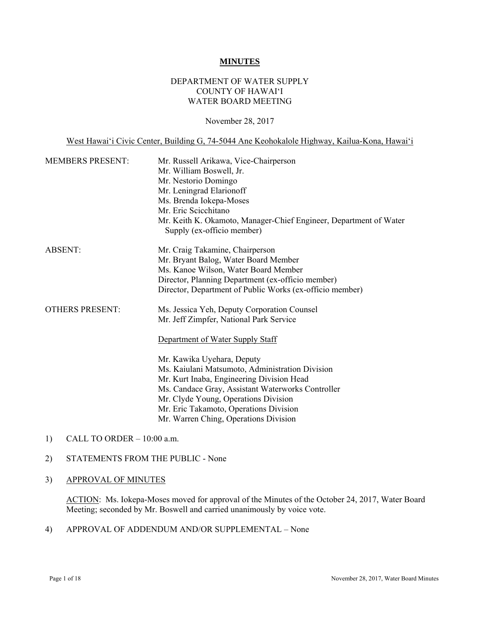#### **MINUTES**

### DEPARTMENT OF WATER SUPPLY COUNTY OF HAWAI'I WATER BOARD MEETING

November 28, 2017

West Hawai'i Civic Center, Building G, 74-5044 Ane Keohokalole Highway, Kailua-Kona, Hawai'i

| <b>MEMBERS PRESENT:</b> | Mr. Russell Arikawa, Vice-Chairperson<br>Mr. William Boswell, Jr.<br>Mr. Nestorio Domingo<br>Mr. Leningrad Elarionoff<br>Ms. Brenda Iokepa-Moses<br>Mr. Eric Scicchitano<br>Mr. Keith K. Okamoto, Manager-Chief Engineer, Department of Water<br>Supply (ex-officio member)                                                                                                                                                              |
|-------------------------|------------------------------------------------------------------------------------------------------------------------------------------------------------------------------------------------------------------------------------------------------------------------------------------------------------------------------------------------------------------------------------------------------------------------------------------|
| <b>ABSENT:</b>          | Mr. Craig Takamine, Chairperson<br>Mr. Bryant Balog, Water Board Member<br>Ms. Kanoe Wilson, Water Board Member<br>Director, Planning Department (ex-officio member)<br>Director, Department of Public Works (ex-officio member)                                                                                                                                                                                                         |
| <b>OTHERS PRESENT:</b>  | Ms. Jessica Yeh, Deputy Corporation Counsel<br>Mr. Jeff Zimpfer, National Park Service<br>Department of Water Supply Staff<br>Mr. Kawika Uyehara, Deputy<br>Ms. Kaiulani Matsumoto, Administration Division<br>Mr. Kurt Inaba, Engineering Division Head<br>Ms. Candace Gray, Assistant Waterworks Controller<br>Mr. Clyde Young, Operations Division<br>Mr. Eric Takamoto, Operations Division<br>Mr. Warren Ching, Operations Division |

1) CALL TO ORDER – 10:00 a.m.

### 2) STATEMENTS FROM THE PUBLIC - None

# 3) APPROVAL OF MINUTES

ACTION: Ms. Iokepa-Moses moved for approval of the Minutes of the October 24, 2017, Water Board Meeting; seconded by Mr. Boswell and carried unanimously by voice vote.

4) APPROVAL OF ADDENDUM AND/OR SUPPLEMENTAL – None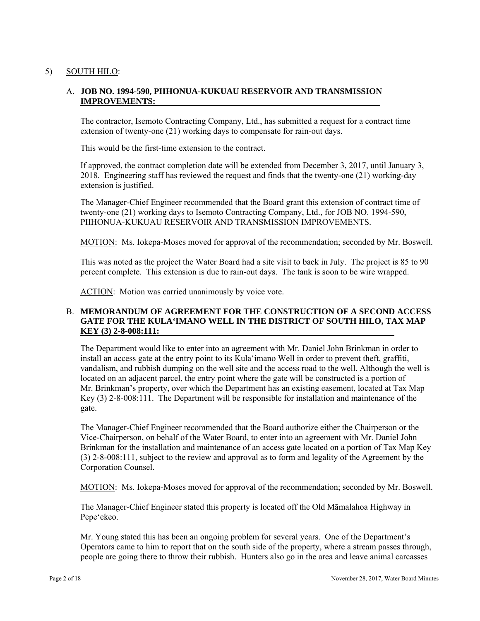# 5) SOUTH HILO:

# **IMPROVEMENTS:** A. **JOB NO. 1994-590, PIIHONUA-KUKUAU RESERVOIR AND TRANSMISSION**

The contractor, Isemoto Contracting Company, Ltd., has submitted a request for a contract time extension of twenty-one (21) working days to compensate for rain-out days.

This would be the first-time extension to the contract.

If approved, the contract completion date will be extended from December 3, 2017, until January 3, 2018. Engineering staff has reviewed the request and finds that the twenty-one (21) working-day extension is justified.

The Manager-Chief Engineer recommended that the Board grant this extension of contract time of twenty-one (21) working days to Isemoto Contracting Company, Ltd., for JOB NO. 1994-590, PIIHONUA-KUKUAU RESERVOIR AND TRANSMISSION IMPROVEMENTS.

MOTION: Ms. Iokepa-Moses moved for approval of the recommendation; seconded by Mr. Boswell.

percent complete. This extension is due to rain-out days. The tank is soon to be wire wrapped.<br>ACTION: Motion was carried unanimously by voice vote. This was noted as the project the Water Board had a site visit to back in July. The project is 85 to 90

ACTION: Motion was carried unanimously by voice vote.

### B. **MEMORANDUM OF AGREEMENT FOR THE CONSTRUCTION OF A SECOND ACCESS GATE FOR THE KULA'IMANO WELL IN THE DISTRICT OF SOUTH HILO, TAX MAP KEY (3) 2-8-008:111:**

The Department would like to enter into an agreement with Mr. Daniel John Brinkman in order to install an access gate at the entry point to its Kula'imano Well in order to prevent theft, graffiti, vandalism, and rubbish dumping on the well site and the access road to the well. Although the well is located on an adjacent parcel, the entry point where the gate will be constructed is a portion of Mr. Brinkman's property, over which the Department has an existing easement, located at Tax Map Key (3) 2-8-008:111. The Department will be responsible for installation and maintenance of the gate.

The Manager-Chief Engineer recommended that the Board authorize either the Chairperson or the Vice-Chairperson, on behalf of the Water Board, to enter into an agreement with Mr. Daniel John Brinkman for the installation and maintenance of an access gate located on a portion of Tax Map Key (3) 2-8-008:111, subject to the review and approval as to form and legality of the Agreement by the Corporation Counsel.

MOTION: Ms. Iokepa-Moses moved for approval of the recommendation; seconded by Mr. Boswell.

The Manager-Chief Engineer stated this property is located off the Old Māmalahoa Highway in Pepe'ekeo.

Mr. Young stated this has been an ongoing problem for several years. One of the Department's Operators came to him to report that on the south side of the property, where a stream passes through, people are going there to throw their rubbish. Hunters also go in the area and leave animal carcasses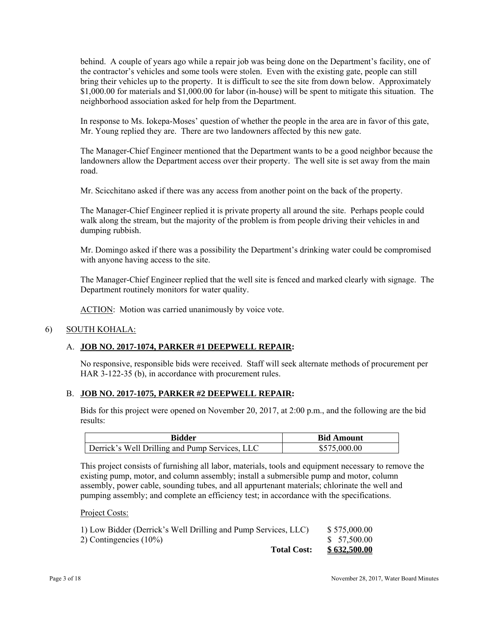bring their vehicles up to the property. It is difficult to see the site from down below. Approximately behind. A couple of years ago while a repair job was being done on the Department's facility, one of the contractor's vehicles and some tools were stolen. Even with the existing gate, people can still \$1,000.00 for materials and \$1,000.00 for labor (in-house) will be spent to mitigate this situation. The neighborhood association asked for help from the Department.

In response to Ms. Iokepa-Moses' question of whether the people in the area are in favor of this gate, Mr. Young replied they are. There are two landowners affected by this new gate.

The Manager-Chief Engineer mentioned that the Department wants to be a good neighbor because the landowners allow the Department access over their property. The well site is set away from the main road.

Mr. Scicchitano asked if there was any access from another point on the back of the property.

The Manager-Chief Engineer replied it is private property all around the site. Perhaps people could walk along the stream, but the majority of the problem is from people driving their vehicles in and dumping rubbish.

Mr. Domingo asked if there was a possibility the Department's drinking water could be compromised with anyone having access to the site.

The Manager-Chief Engineer replied that the well site is fenced and marked clearly with signage. The Department routinely monitors for water quality.

ACTION: Motion was carried unanimously by voice vote.

### 6) SOUTH KOHALA:

#### A. **JOB NO. 2017-1074, PARKER #1 DEEPWELL REPAIR:**

No responsive, responsible bids were received. Staff will seek alternate methods of procurement per HAR 3-122-35 (b), in accordance with procurement rules.

#### B. **JOB NO. 2017-1075, PARKER #2 DEEPWELL REPAIR:**

Bids for this project were opened on November 20, 2017, at 2:00 p.m., and the following are the bid results:

| Bidder                                         | <b>Bid Amount</b> |
|------------------------------------------------|-------------------|
| Derrick's Well Drilling and Pump Services, LLC | \$575,000.00      |

This project consists of furnishing all labor, materials, tools and equipment necessary to remove the existing pump, motor, and column assembly; install a submersible pump and motor, column assembly, power cable, sounding tubes, and all appurtenant materials; chlorinate the well and pumping assembly; and complete an efficiency test; in accordance with the specifications.

Project Costs:

| 1) Low Bidder (Derrick's Well Drilling and Pump Services, LLC) | \$575,000.00 |
|----------------------------------------------------------------|--------------|
| 2) Contingencies $(10\%)$                                      | \$ 57.500.00 |
| <b>Total Cost:</b>                                             | \$632,500.00 |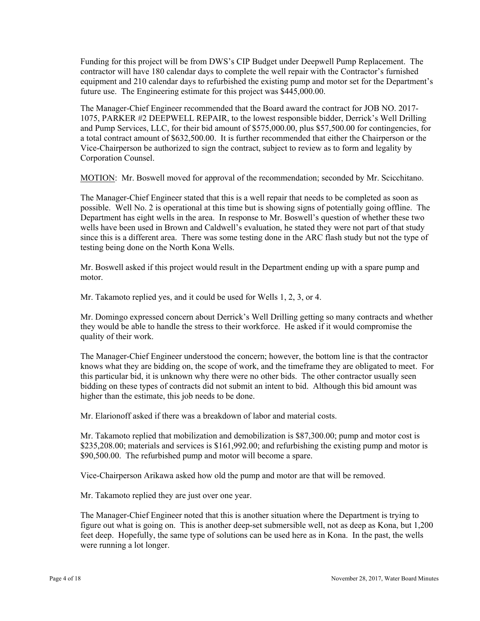Funding for this project will be from DWS's CIP Budget under Deepwell Pump Replacement. The contractor will have 180 calendar days to complete the well repair with the Contractor's furnished equipment and 210 calendar days to refurbished the existing pump and motor set for the Department's future use. The Engineering estimate for this project was \$445,000.00.

 Vice-Chairperson be authorized to sign the contract, subject to review as to form and legality by The Manager-Chief Engineer recommended that the Board award the contract for JOB NO. 2017 1075, PARKER #2 DEEPWELL REPAIR, to the lowest responsible bidder, Derrick's Well Drilling and Pump Services, LLC, for their bid amount of \$575,000.00, plus \$57,500.00 for contingencies, for a total contract amount of \$632,500.00. It is further recommended that either the Chairperson or the Corporation Counsel.

MOTION: Mr. Boswell moved for approval of the recommendation; seconded by Mr. Scicchitano.

The Manager-Chief Engineer stated that this is a well repair that needs to be completed as soon as possible. Well No. 2 is operational at this time but is showing signs of potentially going offline. The Department has eight wells in the area. In response to Mr. Boswell's question of whether these two wells have been used in Brown and Caldwell's evaluation, he stated they were not part of that study since this is a different area. There was some testing done in the ARC flash study but not the type of testing being done on the North Kona Wells.

Mr. Boswell asked if this project would result in the Department ending up with a spare pump and motor.

Mr. Takamoto replied yes, and it could be used for Wells 1, 2, 3, or 4.

Mr. Domingo expressed concern about Derrick's Well Drilling getting so many contracts and whether they would be able to handle the stress to their workforce. He asked if it would compromise the quality of their work.

The Manager-Chief Engineer understood the concern; however, the bottom line is that the contractor knows what they are bidding on, the scope of work, and the timeframe they are obligated to meet. For this particular bid, it is unknown why there were no other bids. The other contractor usually seen bidding on these types of contracts did not submit an intent to bid. Although this bid amount was higher than the estimate, this job needs to be done.

Mr. Elarionoff asked if there was a breakdown of labor and material costs.

Mr. Takamoto replied that mobilization and demobilization is \$87,300.00; pump and motor cost is \$235,208.00; materials and services is \$161,992.00; and refurbishing the existing pump and motor is \$90,500.00. The refurbished pump and motor will become a spare.

Vice-Chairperson Arikawa asked how old the pump and motor are that will be removed.

Mr. Takamoto replied they are just over one year.

The Manager-Chief Engineer noted that this is another situation where the Department is trying to figure out what is going on. This is another deep-set submersible well, not as deep as Kona, but 1,200 feet deep. Hopefully, the same type of solutions can be used here as in Kona. In the past, the wells were running a lot longer.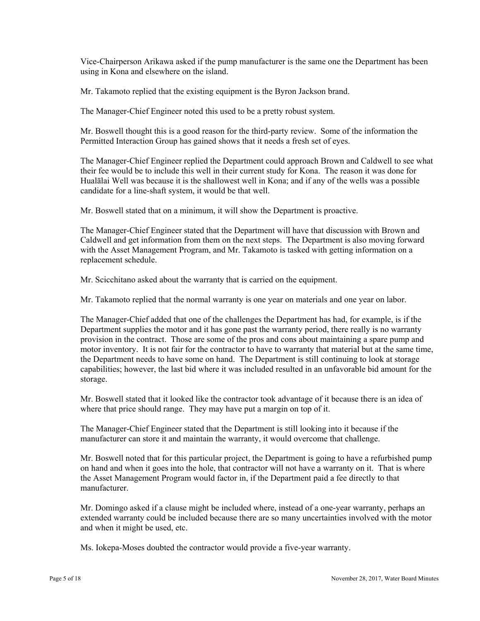Vice-Chairperson Arikawa asked if the pump manufacturer is the same one the Department has been using in Kona and elsewhere on the island.

Mr. Takamoto replied that the existing equipment is the Byron Jackson brand.

The Manager-Chief Engineer noted this used to be a pretty robust system.

Mr. Boswell thought this is a good reason for the third-party review. Some of the information the Permitted Interaction Group has gained shows that it needs a fresh set of eyes.

The Manager-Chief Engineer replied the Department could approach Brown and Caldwell to see what their fee would be to include this well in their current study for Kona. The reason it was done for Hualālai Well was because it is the shallowest well in Kona; and if any of the wells was a possible candidate for a line-shaft system, it would be that well.

Mr. Boswell stated that on a minimum, it will show the Department is proactive.

The Manager-Chief Engineer stated that the Department will have that discussion with Brown and Caldwell and get information from them on the next steps. The Department is also moving forward with the Asset Management Program, and Mr. Takamoto is tasked with getting information on a replacement schedule.

Mr. Scicchitano asked about the warranty that is carried on the equipment.

Mr. Takamoto replied that the normal warranty is one year on materials and one year on labor.

The Manager-Chief added that one of the challenges the Department has had, for example, is if the Department supplies the motor and it has gone past the warranty period, there really is no warranty provision in the contract. Those are some of the pros and cons about maintaining a spare pump and motor inventory. It is not fair for the contractor to have to warranty that material but at the same time, the Department needs to have some on hand. The Department is still continuing to look at storage capabilities; however, the last bid where it was included resulted in an unfavorable bid amount for the storage.

Mr. Boswell stated that it looked like the contractor took advantage of it because there is an idea of where that price should range. They may have put a margin on top of it.

The Manager-Chief Engineer stated that the Department is still looking into it because if the manufacturer can store it and maintain the warranty, it would overcome that challenge.

Mr. Boswell noted that for this particular project, the Department is going to have a refurbished pump on hand and when it goes into the hole, that contractor will not have a warranty on it. That is where the Asset Management Program would factor in, if the Department paid a fee directly to that manufacturer.

Mr. Domingo asked if a clause might be included where, instead of a one-year warranty, perhaps an extended warranty could be included because there are so many uncertainties involved with the motor and when it might be used, etc.

Ms. Iokepa-Moses doubted the contractor would provide a five-year warranty.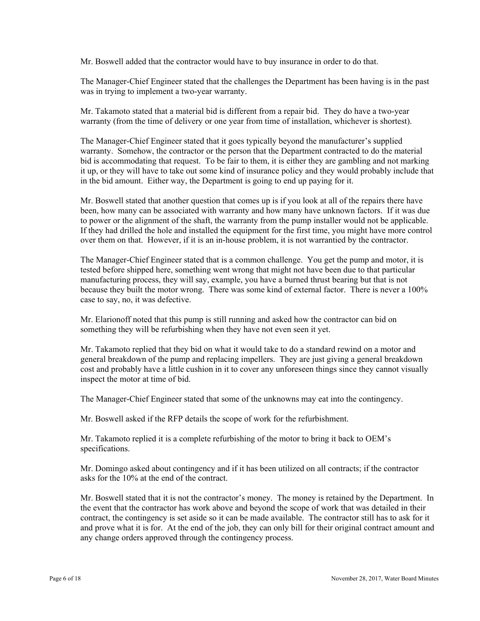Mr. Boswell added that the contractor would have to buy insurance in order to do that.

was in trying to implement a two-year warranty. The Manager-Chief Engineer stated that the challenges the Department has been having is in the past

When Takamoto stated that a material bid is different from a repair bid. They do have a two-year warranty (from the time of delivery or one year from time of installation, whichever is shortest).

The Manager-Chief Engineer stated that it goes typically beyond the manufacturer's supplied warranty. Somehow, the contractor or the person that the Department contracted to do the material bid is accommodating that request. To be fair to them, it is either they are gambling and not marking it up, or they will have to take out some kind of insurance policy and they would probably include that in the bid amount. Either way, the Department is going to end up paying for it.

Mr. Boswell stated that another question that comes up is if you look at all of the repairs there have been, how many can be associated with warranty and how many have unknown factors. If it was due to power or the alignment of the shaft, the warranty from the pump installer would not be applicable. If they had drilled the hole and installed the equipment for the first time, you might have more control over them on that. However, if it is an in-house problem, it is not warrantied by the contractor.

The Manager-Chief Engineer stated that is a common challenge. You get the pump and motor, it is tested before shipped here, something went wrong that might not have been due to that particular manufacturing process, they will say, example, you have a burned thrust bearing but that is not because they built the motor wrong. There was some kind of external factor. There is never a 100% case to say, no, it was defective.

Mr. Elarionoff noted that this pump is still running and asked how the contractor can bid on something they will be refurbishing when they have not even seen it yet.

Mr. Takamoto replied that they bid on what it would take to do a standard rewind on a motor and general breakdown of the pump and replacing impellers. They are just giving a general breakdown cost and probably have a little cushion in it to cover any unforeseen things since they cannot visually inspect the motor at time of bid.

The Manager-Chief Engineer stated that some of the unknowns may eat into the contingency.

Mr. Boswell asked if the RFP details the scope of work for the refurbishment.

Mr. Takamoto replied it is a complete refurbishing of the motor to bring it back to OEM's specifications.

Mr. Domingo asked about contingency and if it has been utilized on all contracts; if the contractor asks for the 10% at the end of the contract.

Mr. Boswell stated that it is not the contractor's money. The money is retained by the Department. In the event that the contractor has work above and beyond the scope of work that was detailed in their contract, the contingency is set aside so it can be made available. The contractor still has to ask for it and prove what it is for. At the end of the job, they can only bill for their original contract amount and any change orders approved through the contingency process.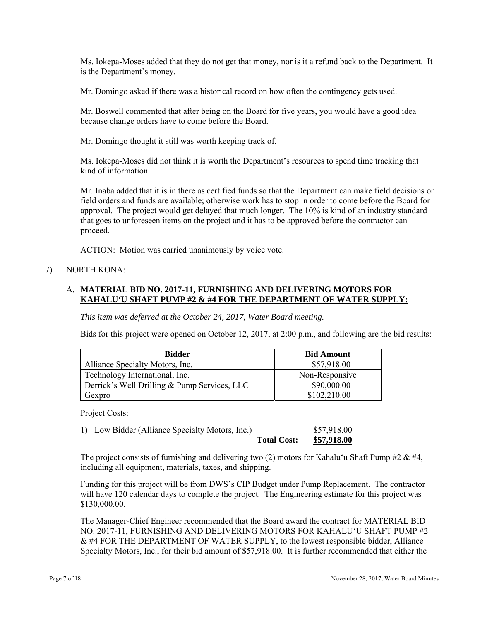Ms. Iokepa-Moses added that they do not get that money, nor is it a refund back to the Department. It is the Department's money.

Mr. Domingo asked if there was a historical record on how often the contingency gets used.

Mr. Boswell commented that after being on the Board for five years, you would have a good idea because change orders have to come before the Board.

Mr. Domingo thought it still was worth keeping track of.

Ms. Iokepa-Moses did not think it is worth the Department's resources to spend time tracking that kind of information.

Mr. Inaba added that it is in there as certified funds so that the Department can make field decisions or field orders and funds are available; otherwise work has to stop in order to come before the Board for approval. The project would get delayed that much longer. The 10% is kind of an industry standard that goes to unforeseen items on the project and it has to be approved before the contractor can proceed.

ACTION: Motion was carried unanimously by voice vote.

### 7) NORTH KONA:

### A. **MATERIAL BID NO. 2017-11, FURNISHING AND DELIVERING MOTORS FOR KAHALU'U SHAFT PUMP #2 & #4 FOR THE DEPARTMENT OF WATER SUPPLY:**

*This item was deferred at the October 24, 2017, Water Board meeting.* 

Bids for this project were opened on October 12, 2017, at 2:00 p.m., and following are the bid results:

| <b>Bidder</b>                                | <b>Bid Amount</b> |  |
|----------------------------------------------|-------------------|--|
| Alliance Specialty Motors, Inc.              | \$57,918.00       |  |
| Technology International, Inc.               | Non-Responsive    |  |
| Derrick's Well Drilling & Pump Services, LLC | \$90,000.00       |  |
| Gexpro                                       | \$102,210.00      |  |

Project Costs:

1) Low Bidder (Alliance Specialty Motors, Inc.) \$57,918.00 **Total Cost: \$57,918.00** 

The project consists of furnishing and delivering two (2) motors for Kahalu'u Shaft Pump #2 & #4, including all equipment, materials, taxes, and shipping.

Funding for this project will be from DWS's CIP Budget under Pump Replacement. The contractor will have 120 calendar days to complete the project. The Engineering estimate for this project was \$130,000.00.

The Manager-Chief Engineer recommended that the Board award the contract for MATERIAL BID NO. 2017-11, FURNISHING AND DELIVERING MOTORS FOR KAHALUʻU SHAFT PUMP #2 & #4 FOR THE DEPARTMENT OF WATER SUPPLY, to the lowest responsible bidder, Alliance Specialty Motors, Inc., for their bid amount of \$57,918.00. It is further recommended that either the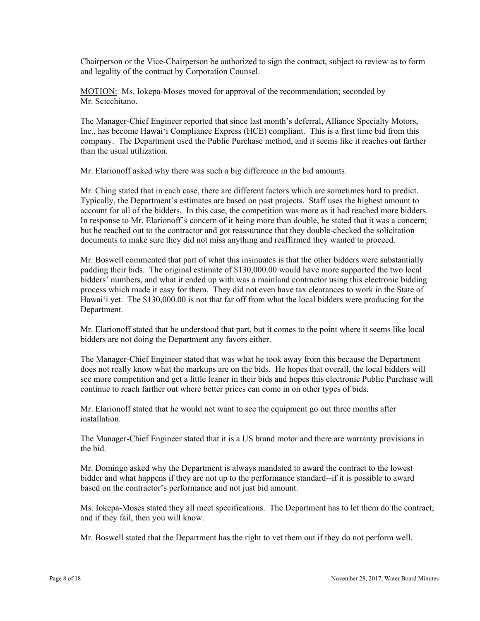Chairperson or the Vice-Chairperson be authorized to sign the contract, subject to review as to form and legality of the contract by Corporation Counsel.

MOTION: Ms. Iokepa-Moses moved for approval of the recommendation; seconded by Mr. Scicchitano.

The Manager-Chief Engineer reported that since last month's deferral, Alliance Specialty Motors, Inc., has become Hawai'i Compliance Express (HCE) compliant. This is a first time bid from this company. The Department used the Public Purchase method, and it seems like it reaches out farther than the usual utilization.

Mr. Elarionoff asked why there was such a big difference in the bid amounts.

Mr. Ching stated that in each case, there are different factors which are sometimes hard to predict. Typically, the Department's estimates are based on past projects. Staff uses the highest amount to account for all of the bidders. In this case, the competition was more as it had reached more bidders. In response to Mr. Elarionoff's concern of it being more than double, he stated that it was a concern; but he reached out to the contractor and got reassurance that they double-checked the solicitation documents to make sure they did not miss anything and reaffirmed they wanted to proceed.

Mr. Boswell commented that part of what this insinuates is that the other bidders were substantially padding their bids. The original estimate of \$130,000.00 would have more supported the two local bidders' numbers, and what it ended up with was a mainland contractor using this electronic bidding process which made it easy for them. They did not even have tax clearances to work in the State of Hawai'i yet. The \$130,000.00 is not that far off from what the local bidders were producing for the Department.

Mr. Elarionoff stated that he understood that part, but it comes to the point where it seems like local bidders are not doing the Department any favors either.

The Manager-Chief Engineer stated that was what he took away from this because the Department does not really know what the markups are on the bids. He hopes that overall, the local bidders will see more competition and get a little leaner in their bids and hopes this electronic Public Purchase will continue to reach farther out where better prices can come in on other types of bids.

Mr. Elarionoff stated that he would not want to see the equipment go out three months after installation.

The Manager-Chief Engineer stated that it is a US brand motor and there are warranty provisions in the bid.

Mr. Domingo asked why the Department is always mandated to award the contract to the lowest bidder and what happens if they are not up to the performance standard--if it is possible to award based on the contractor's performance and not just bid amount.

Ms. Iokepa-Moses stated they all meet specifications. The Department has to let them do the contract; and if they fail, then you will know.

Mr. Boswell stated that the Department has the right to vet them out if they do not perform well.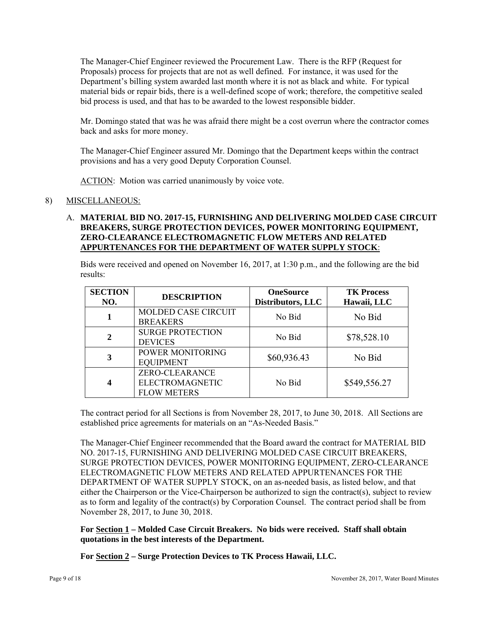The Manager-Chief Engineer reviewed the Procurement Law. There is the RFP (Request for Proposals) process for projects that are not as well defined. For instance, it was used for the Department's billing system awarded last month where it is not as black and white. For typical material bids or repair bids, there is a well-defined scope of work; therefore, the competitive sealed bid process is used, and that has to be awarded to the lowest responsible bidder.

Mr. Domingo stated that was he was afraid there might be a cost overrun where the contractor comes back and asks for more money.

The Manager-Chief Engineer assured Mr. Domingo that the Department keeps within the contract provisions and has a very good Deputy Corporation Counsel.

ACTION: Motion was carried unanimously by voice vote.

# 8) MISCELLANEOUS:

# A. **MATERIAL BID NO. 2017-15, FURNISHING AND DELIVERING MOLDED CASE CIRCUIT BREAKERS, SURGE PROTECTION DEVICES, POWER MONITORING EQUIPMENT, ZERO-CLEARANCE ELECTROMAGNETIC FLOW METERS AND RELATED APPURTENANCES FOR THE DEPARTMENT OF WATER SUPPLY STOCK**:

Bids were received and opened on November 16, 2017, at 1:30 p.m., and the following are the bid results:

| <b>SECTION</b><br>NO. | <b>DESCRIPTION</b>                                      | <b>OneSource</b><br><b>Distributors, LLC</b> | <b>TK Process</b><br>Hawaii, LLC |
|-----------------------|---------------------------------------------------------|----------------------------------------------|----------------------------------|
|                       | <b>MOLDED CASE CIRCUIT</b><br><b>BREAKERS</b>           | No Bid                                       | No Bid                           |
| $\mathbf{2}$          | <b>SURGE PROTECTION</b><br><b>DEVICES</b>               | No Bid                                       | \$78,528.10                      |
|                       | POWER MONITORING<br><b>EQUIPMENT</b>                    | \$60,936.43                                  | No Bid                           |
|                       | ZERO-CLEARANCE<br>ELECTROMAGNETIC<br><b>FLOW METERS</b> | No Bid                                       | \$549,556.27                     |

The contract period for all Sections is from November 28, 2017, to June 30, 2018. All Sections are established price agreements for materials on an "As-Needed Basis."

The Manager-Chief Engineer recommended that the Board award the contract for MATERIAL BID NO. 2017-15, FURNISHING AND DELIVERING MOLDED CASE CIRCUIT BREAKERS, SURGE PROTECTION DEVICES, POWER MONITORING EQUIPMENT, ZERO-CLEARANCE ELECTROMAGNETIC FLOW METERS AND RELATED APPURTENANCES FOR THE DEPARTMENT OF WATER SUPPLY STOCK, on an as-needed basis, as listed below, and that either the Chairperson or the Vice-Chairperson be authorized to sign the contract(s), subject to review as to form and legality of the contract(s) by Corporation Counsel. The contract period shall be from November 28, 2017, to June 30, 2018.

**For Section 1 – Molded Case Circuit Breakers. No bids were received. Staff shall obtain quotations in the best interests of the Department.** 

**For Section 2 – Surge Protection Devices to TK Process Hawaii, LLC.**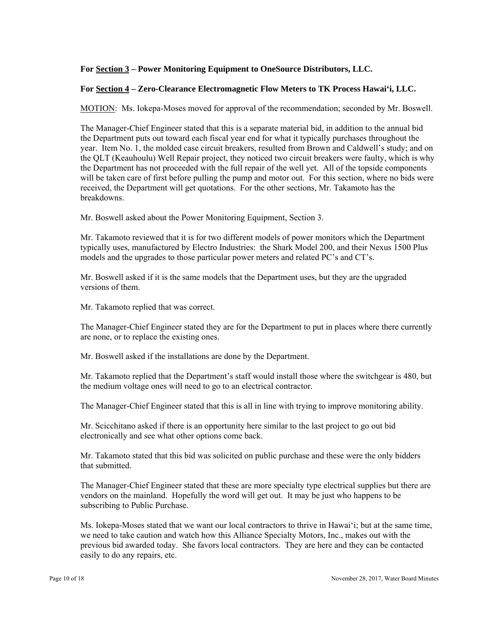# **For Section 3 – Power Monitoring Equipment to OneSource Distributors, LLC.**

### **For Section 4 – Zero-Clearance Electromagnetic Flow Meters to TK Process Hawai'i, LLC.**

MOTION: Ms. Iokepa-Moses moved for approval of the recommendation; seconded by Mr. Boswell.

The Manager-Chief Engineer stated that this is a separate material bid, in addition to the annual bid the Department puts out toward each fiscal year end for what it typically purchases throughout the year. Item No. 1, the molded case circuit breakers, resulted from Brown and Caldwell's study; and on the QLT (Keauhoulu) Well Repair project, they noticed two circuit breakers were faulty, which is why the Department has not proceeded with the full repair of the well yet. All of the topside components will be taken care of first before pulling the pump and motor out. For this section, where no bids were received, the Department will get quotations. For the other sections, Mr. Takamoto has the breakdowns.

Mr. Boswell asked about the Power Monitoring Equipment, Section 3.

Mr. Takamoto reviewed that it is for two different models of power monitors which the Department typically uses, manufactured by Electro Industries: the Shark Model 200, and their Nexus 1500 Plus models and the upgrades to those particular power meters and related PC's and CT's.

Mr. Boswell asked if it is the same models that the Department uses, but they are the upgraded versions of them.

Mr. Takamoto replied that was correct.

The Manager-Chief Engineer stated they are for the Department to put in places where there currently are none, or to replace the existing ones.

Mr. Boswell asked if the installations are done by the Department.

Mr. Takamoto replied that the Department's staff would install those where the switchgear is 480, but the medium voltage ones will need to go to an electrical contractor.

The Manager-Chief Engineer stated that this is all in line with trying to improve monitoring ability.

Mr. Scicchitano asked if there is an opportunity here similar to the last project to go out bid electronically and see what other options come back.

Mr. Takamoto stated that this bid was solicited on public purchase and these were the only bidders that submitted.

The Manager-Chief Engineer stated that these are more specialty type electrical supplies but there are vendors on the mainland. Hopefully the word will get out. It may be just who happens to be subscribing to Public Purchase.

Ms. Iokepa-Moses stated that we want our local contractors to thrive in Hawai'i; but at the same time, we need to take caution and watch how this Alliance Specialty Motors, Inc., makes out with the previous bid awarded today. She favors local contractors. They are here and they can be contacted easily to do any repairs, etc.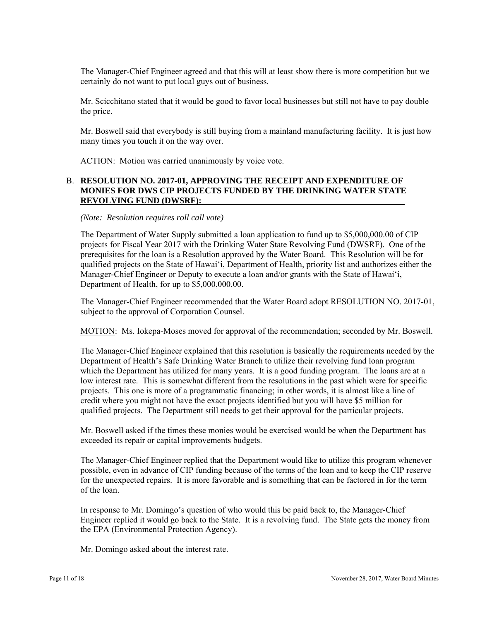The Manager-Chief Engineer agreed and that this will at least show there is more competition but we certainly do not want to put local guys out of business.

Mr. Scicchitano stated that it would be good to favor local businesses but still not have to pay double the price.

Mr. Boswell said that everybody is still buying from a mainland manufacturing facility. It is just how many times you touch it on the way over.

ACTION: Motion was carried unanimously by voice vote.

### B. **RESOLUTION NO. 2017-01, APPROVING THE RECEIPT AND EXPENDITURE OF MONIES FOR DWS CIP PROJECTS FUNDED BY THE DRINKING WATER STATE REVOLVING FUND (DWSRF):**

#### *(Note: Resolution requires roll call vote)*

The Department of Water Supply submitted a loan application to fund up to \$5,000,000.00 of CIP projects for Fiscal Year 2017 with the Drinking Water State Revolving Fund (DWSRF). One of the prerequisites for the loan is a Resolution approved by the Water Board. This Resolution will be for qualified projects on the State of Hawai'i, Department of Health, priority list and authorizes either the Manager-Chief Engineer or Deputy to execute a loan and/or grants with the State of Hawai'i, Department of Health, for up to \$5,000,000.00.

The Manager-Chief Engineer recommended that the Water Board adopt RESOLUTION NO. 2017-01, subject to the approval of Corporation Counsel.

MOTION: Ms. Iokepa-Moses moved for approval of the recommendation; seconded by Mr. Boswell.

The Manager-Chief Engineer explained that this resolution is basically the requirements needed by the Department of Health's Safe Drinking Water Branch to utilize their revolving fund loan program which the Department has utilized for many years. It is a good funding program. The loans are at a low interest rate. This is somewhat different from the resolutions in the past which were for specific projects. This one is more of a programmatic financing; in other words, it is almost like a line of credit where you might not have the exact projects identified but you will have \$5 million for qualified projects. The Department still needs to get their approval for the particular projects.

Mr. Boswell asked if the times these monies would be exercised would be when the Department has exceeded its repair or capital improvements budgets.

The Manager-Chief Engineer replied that the Department would like to utilize this program whenever possible, even in advance of CIP funding because of the terms of the loan and to keep the CIP reserve for the unexpected repairs. It is more favorable and is something that can be factored in for the term of the loan.

In response to Mr. Domingo's question of who would this be paid back to, the Manager-Chief Engineer replied it would go back to the State. It is a revolving fund. The State gets the money from the EPA (Environmental Protection Agency).

Mr. Domingo asked about the interest rate.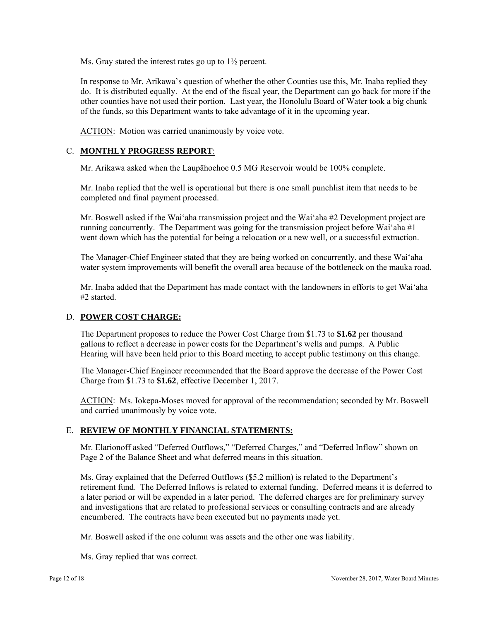Ms. Gray stated the interest rates go up to  $1\frac{1}{2}$  percent.

In response to Mr. Arikawa's question of whether the other Counties use this, Mr. Inaba replied they do. It is distributed equally. At the end of the fiscal year, the Department can go back for more if the other counties have not used their portion. Last year, the Honolulu Board of Water took a big chunk of the funds, so this Department wants to take advantage of it in the upcoming year.

ACTION: Motion was carried unanimously by voice vote.

# C. **MONTHLY PROGRESS REPORT**:

Mr. Arikawa asked when the Laupāhoehoe 0.5 MG Reservoir would be 100% complete.

Mr. Inaba replied that the well is operational but there is one small punchlist item that needs to be completed and final payment processed.

Mr. Boswell asked if the Wai'aha transmission project and the Wai'aha #2 Development project are running concurrently. The Department was going for the transmission project before Wai'aha #1 went down which has the potential for being a relocation or a new well, or a successful extraction.

The Manager-Chief Engineer stated that they are being worked on concurrently, and these Wai'aha water system improvements will benefit the overall area because of the bottleneck on the mauka road.

Mr. Inaba added that the Department has made contact with the landowners in efforts to get Wai'aha #2 started.

### D. **POWER COST CHARGE:**

The Department proposes to reduce the Power Cost Charge from \$1.73 to **\$1.62** per thousand gallons to reflect a decrease in power costs for the Department's wells and pumps. A Public Hearing will have been held prior to this Board meeting to accept public testimony on this change.

The Manager-Chief Engineer recommended that the Board approve the decrease of the Power Cost Charge from \$1.73 to **\$1.62**, effective December 1, 2017.

ACTION: Ms. Iokepa-Moses moved for approval of the recommendation; seconded by Mr. Boswell and carried unanimously by voice vote.

### E. **REVIEW OF MONTHLY FINANCIAL STATEMENTS:**

Mr. Elarionoff asked "Deferred Outflows," "Deferred Charges," and "Deferred Inflow" shown on Page 2 of the Balance Sheet and what deferred means in this situation.

Ms. Gray explained that the Deferred Outflows (\$5.2 million) is related to the Department's retirement fund. The Deferred Inflows is related to external funding. Deferred means it is deferred to a later period or will be expended in a later period. The deferred charges are for preliminary survey and investigations that are related to professional services or consulting contracts and are already encumbered. The contracts have been executed but no payments made yet.

Mr. Boswell asked if the one column was assets and the other one was liability.

Ms. Gray replied that was correct.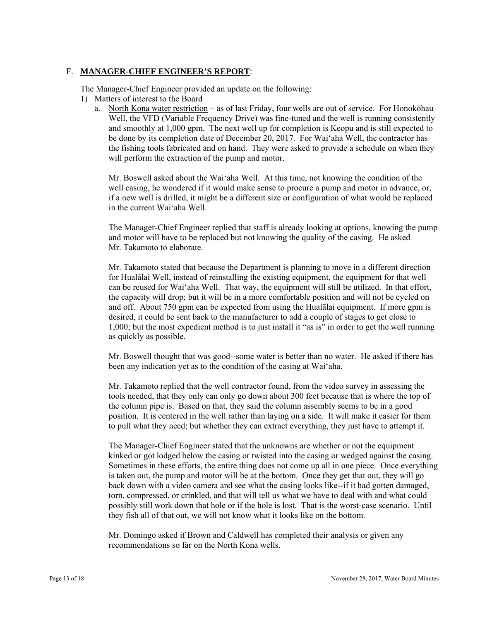### F. **MANAGER-CHIEF ENGINEER'S REPORT**:

The Manager-Chief Engineer provided an update on the following:

- 1) Matters of interest to the Board
	- a. North Kona water restriction as of last Friday, four wells are out of service. For Honokōhau Well, the VFD (Variable Frequency Drive) was fine-tuned and the well is running consistently and smoothly at 1,000 gpm. The next well up for completion is Keopu and is still expected to be done by its completion date of December 20, 2017. For Wai'aha Well, the contractor has the fishing tools fabricated and on hand. They were asked to provide a schedule on when they will perform the extraction of the pump and motor.

Mr. Boswell asked about the Wai'aha Well. At this time, not knowing the condition of the well casing, he wondered if it would make sense to procure a pump and motor in advance, or, if a new well is drilled, it might be a different size or configuration of what would be replaced in the current Wai'aha Well.

The Manager-Chief Engineer replied that staff is already looking at options, knowing the pump and motor will have to be replaced but not knowing the quality of the casing. He asked Mr. Takamoto to elaborate.

Mr. Takamoto stated that because the Department is planning to move in a different direction for Hualālai Well, instead of reinstalling the existing equipment, the equipment for that well can be reused for Wai'aha Well. That way, the equipment will still be utilized. In that effort, the capacity will drop; but it will be in a more comfortable position and will not be cycled on and off. About 750 gpm can be expected from using the Hualālai equipment. If more gpm is desired, it could be sent back to the manufacturer to add a couple of stages to get close to 1,000; but the most expedient method is to just install it "as is" in order to get the well running as quickly as possible.

Mr. Boswell thought that was good--some water is better than no water. He asked if there has been any indication yet as to the condition of the casing at Wai'aha.

Mr. Takamoto replied that the well contractor found, from the video survey in assessing the tools needed, that they only can only go down about 300 feet because that is where the top of the column pipe is. Based on that, they said the column assembly seems to be in a good position. It is centered in the well rather than laying on a side. It will make it easier for them to pull what they need; but whether they can extract everything, they just have to attempt it.

they fish all of that out, we will not know what it looks like on the bottom. The Manager-Chief Engineer stated that the unknowns are whether or not the equipment kinked or got lodged below the casing or twisted into the casing or wedged against the casing. Sometimes in these efforts, the entire thing does not come up all in one piece. Once everything is taken out, the pump and motor will be at the bottom. Once they get that out, they will go back down with a video camera and see what the casing looks like--if it had gotten damaged, torn, compressed, or crinkled, and that will tell us what we have to deal with and what could possibly still work down that hole or if the hole is lost. That is the worst-case scenario. Until

Mr. Domingo asked if Brown and Caldwell has completed their analysis or given any recommendations so far on the North Kona wells.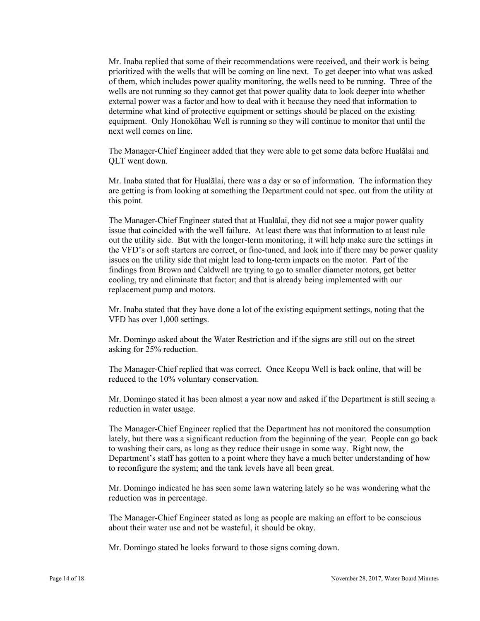Mr. Inaba replied that some of their recommendations were received, and their work is being prioritized with the wells that will be coming on line next. To get deeper into what was asked of them, which includes power quality monitoring, the wells need to be running. Three of the wells are not running so they cannot get that power quality data to look deeper into whether external power was a factor and how to deal with it because they need that information to determine what kind of protective equipment or settings should be placed on the existing equipment. Only Honokōhau Well is running so they will continue to monitor that until the next well comes on line.

The Manager-Chief Engineer added that they were able to get some data before Hualālai and QLT went down.

Mr. Inaba stated that for Hualālai, there was a day or so of information. The information they are getting is from looking at something the Department could not spec. out from the utility at this point.

The Manager-Chief Engineer stated that at Hualālai, they did not see a major power quality issue that coincided with the well failure. At least there was that information to at least rule out the utility side. But with the longer-term monitoring, it will help make sure the settings in the VFD's or soft starters are correct, or fine-tuned, and look into if there may be power quality issues on the utility side that might lead to long-term impacts on the motor. Part of the findings from Brown and Caldwell are trying to go to smaller diameter motors, get better cooling, try and eliminate that factor; and that is already being implemented with our replacement pump and motors.

Mr. Inaba stated that they have done a lot of the existing equipment settings, noting that the VFD has over 1,000 settings.

Mr. Domingo asked about the Water Restriction and if the signs are still out on the street asking for 25% reduction.

The Manager-Chief replied that was correct. Once Keopu Well is back online, that will be reduced to the 10% voluntary conservation.

Mr. Domingo stated it has been almost a year now and asked if the Department is still seeing a reduction in water usage.

The Manager-Chief Engineer replied that the Department has not monitored the consumption lately, but there was a significant reduction from the beginning of the year. People can go back to washing their cars, as long as they reduce their usage in some way. Right now, the Department's staff has gotten to a point where they have a much better understanding of how to reconfigure the system; and the tank levels have all been great.

Mr. Domingo indicated he has seen some lawn watering lately so he was wondering what the reduction was in percentage.

The Manager-Chief Engineer stated as long as people are making an effort to be conscious about their water use and not be wasteful, it should be okay.

Mr. Domingo stated he looks forward to those signs coming down.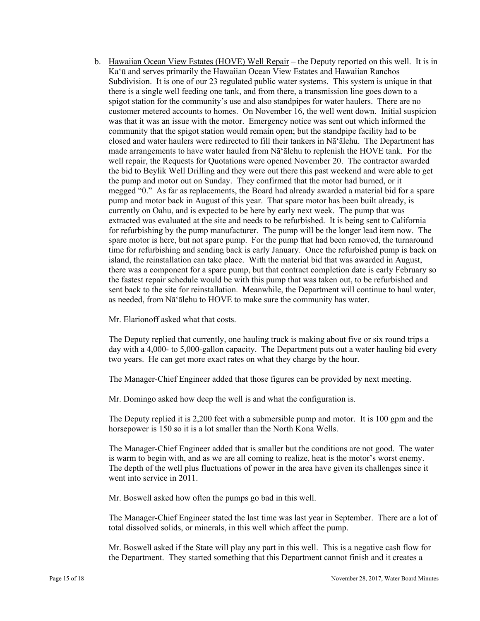b. Hawaiian Ocean View Estates (HOVE) Well Repair – the Deputy reported on this well. It is in Ka'ū and serves primarily the Hawaiian Ocean View Estates and Hawaiian Ranchos Subdivision. It is one of our 23 regulated public water systems. This system is unique in that there is a single well feeding one tank, and from there, a transmission line goes down to a spigot station for the community's use and also standpipes for water haulers. There are no customer metered accounts to homes. On November 16, the well went down. Initial suspicion was that it was an issue with the motor. Emergency notice was sent out which informed the community that the spigot station would remain open; but the standpipe facility had to be closed and water haulers were redirected to fill their tankers in Nā'ālehu. The Department has made arrangements to have water hauled from Nā'ālehu to replenish the HOVE tank. For the well repair, the Requests for Quotations were opened November 20. The contractor awarded the bid to Beylik Well Drilling and they were out there this past weekend and were able to get the pump and motor out on Sunday. They confirmed that the motor had burned, or it megged "0." As far as replacements, the Board had already awarded a material bid for a spare pump and motor back in August of this year. That spare motor has been built already, is currently on Oahu, and is expected to be here by early next week. The pump that was extracted was evaluated at the site and needs to be refurbished. It is being sent to California for refurbishing by the pump manufacturer. The pump will be the longer lead item now. The spare motor is here, but not spare pump. For the pump that had been removed, the turnaround time for refurbishing and sending back is early January. Once the refurbished pump is back on island, the reinstallation can take place. With the material bid that was awarded in August, there was a component for a spare pump, but that contract completion date is early February so the fastest repair schedule would be with this pump that was taken out, to be refurbished and sent back to the site for reinstallation. Meanwhile, the Department will continue to haul water, as needed, from Nā'ālehu to HOVE to make sure the community has water.

Mr. Elarionoff asked what that costs.

The Deputy replied that currently, one hauling truck is making about five or six round trips a day with a 4,000- to 5,000-gallon capacity. The Department puts out a water hauling bid every two years. He can get more exact rates on what they charge by the hour.

The Manager-Chief Engineer added that those figures can be provided by next meeting.

Mr. Domingo asked how deep the well is and what the configuration is.

The Deputy replied it is 2,200 feet with a submersible pump and motor. It is 100 gpm and the horsepower is 150 so it is a lot smaller than the North Kona Wells.

is warm to begin with, and as we are all coming to realize, heat is the motor's worst enemy. The Manager-Chief Engineer added that is smaller but the conditions are not good. The water The depth of the well plus fluctuations of power in the area have given its challenges since it went into service in 2011.

Mr. Boswell asked how often the pumps go bad in this well.

The Manager-Chief Engineer stated the last time was last year in September. There are a lot of total dissolved solids, or minerals, in this well which affect the pump.

 Mr. Boswell asked if the State will play any part in this well. This is a negative cash flow for the Department. They started something that this Department cannot finish and it creates a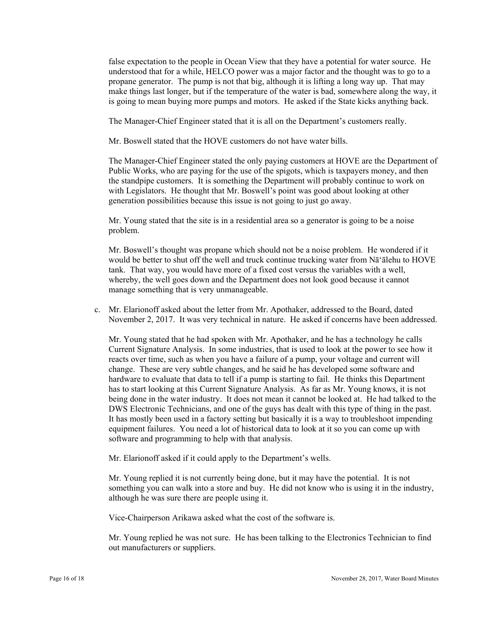false expectation to the people in Ocean View that they have a potential for water source. He understood that for a while, HELCO power was a major factor and the thought was to go to a propane generator. The pump is not that big, although it is lifting a long way up. That may make things last longer, but if the temperature of the water is bad, somewhere along the way, it is going to mean buying more pumps and motors. He asked if the State kicks anything back.

The Manager-Chief Engineer stated that it is all on the Department's customers really.

Mr. Boswell stated that the HOVE customers do not have water bills.

The Manager-Chief Engineer stated the only paying customers at HOVE are the Department of Public Works, who are paying for the use of the spigots, which is taxpayers money, and then the standpipe customers. It is something the Department will probably continue to work on with Legislators. He thought that Mr. Boswell's point was good about looking at other generation possibilities because this issue is not going to just go away.

Mr. Young stated that the site is in a residential area so a generator is going to be a noise problem.

Mr. Boswell's thought was propane which should not be a noise problem. He wondered if it would be better to shut off the well and truck continue trucking water from Nā'ālehu to HOVE tank. That way, you would have more of a fixed cost versus the variables with a well, whereby, the well goes down and the Department does not look good because it cannot manage something that is very unmanageable.

c. Mr. Elarionoff asked about the letter from Mr. Apothaker, addressed to the Board, dated November 2, 2017. It was very technical in nature. He asked if concerns have been addressed.

Mr. Young stated that he had spoken with Mr. Apothaker, and he has a technology he calls Current Signature Analysis. In some industries, that is used to look at the power to see how it reacts over time, such as when you have a failure of a pump, your voltage and current will change. These are very subtle changes, and he said he has developed some software and hardware to evaluate that data to tell if a pump is starting to fail. He thinks this Department has to start looking at this Current Signature Analysis. As far as Mr. Young knows, it is not being done in the water industry. It does not mean it cannot be looked at. He had talked to the DWS Electronic Technicians, and one of the guys has dealt with this type of thing in the past. It has mostly been used in a factory setting but basically it is a way to troubleshoot impending equipment failures. You need a lot of historical data to look at it so you can come up with software and programming to help with that analysis.

Mr. Elarionoff asked if it could apply to the Department's wells.

Mr. Young replied it is not currently being done, but it may have the potential. It is not something you can walk into a store and buy. He did not know who is using it in the industry, although he was sure there are people using it.

Vice-Chairperson Arikawa asked what the cost of the software is.

Mr. Young replied he was not sure. He has been talking to the Electronics Technician to find out manufacturers or suppliers.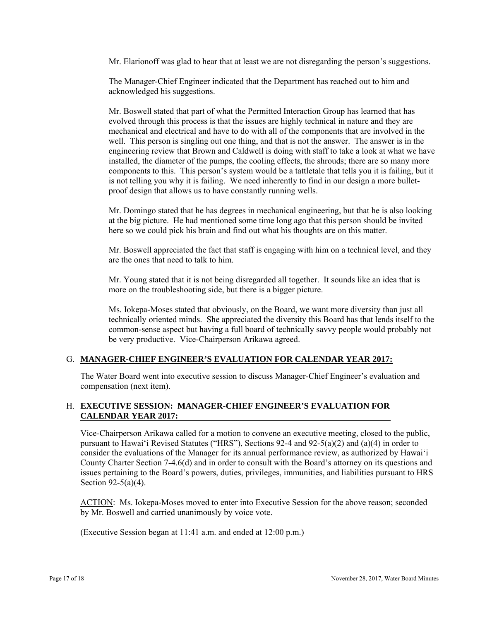Mr. Elarionoff was glad to hear that at least we are not disregarding the person's suggestions.

The Manager-Chief Engineer indicated that the Department has reached out to him and acknowledged his suggestions.

Mr. Boswell stated that part of what the Permitted Interaction Group has learned that has evolved through this process is that the issues are highly technical in nature and they are mechanical and electrical and have to do with all of the components that are involved in the well. This person is singling out one thing, and that is not the answer. The answer is in the engineering review that Brown and Caldwell is doing with staff to take a look at what we have installed, the diameter of the pumps, the cooling effects, the shrouds; there are so many more components to this. This person's system would be a tattletale that tells you it is failing, but it is not telling you why it is failing. We need inherently to find in our design a more bulletproof design that allows us to have constantly running wells.

Mr. Domingo stated that he has degrees in mechanical engineering, but that he is also looking at the big picture. He had mentioned some time long ago that this person should be invited here so we could pick his brain and find out what his thoughts are on this matter.

Mr. Boswell appreciated the fact that staff is engaging with him on a technical level, and they are the ones that need to talk to him.

Mr. Young stated that it is not being disregarded all together. It sounds like an idea that is more on the troubleshooting side, but there is a bigger picture.

Ms. Iokepa-Moses stated that obviously, on the Board, we want more diversity than just all technically oriented minds. She appreciated the diversity this Board has that lends itself to the common-sense aspect but having a full board of technically savvy people would probably not be very productive. Vice-Chairperson Arikawa agreed.

### G. **MANAGER-CHIEF ENGINEER'S EVALUATION FOR CALENDAR YEAR 2017:**

The Water Board went into executive session to discuss Manager-Chief Engineer's evaluation and compensation (next item).

# H. **EXECUTIVE SESSION: MANAGER-CHIEF ENGINEER'S EVALUATION FOR CALENDAR YEAR 2017:**

Vice-Chairperson Arikawa called for a motion to convene an executive meeting, closed to the public, pursuant to Hawai'i Revised Statutes ("HRS"), Sections 92-4 and 92-5(a)(2) and (a)(4) in order to consider the evaluations of the Manager for its annual performance review, as authorized by Hawai'i County Charter Section 7-4.6(d) and in order to consult with the Board's attorney on its questions and issues pertaining to the Board's powers, duties, privileges, immunities, and liabilities pursuant to HRS Section 92-5(a)(4).

ACTION: Ms. Iokepa-Moses moved to enter into Executive Session for the above reason; seconded by Mr. Boswell and carried unanimously by voice vote.

(Executive Session began at 11:41 a.m. and ended at 12:00 p.m.)